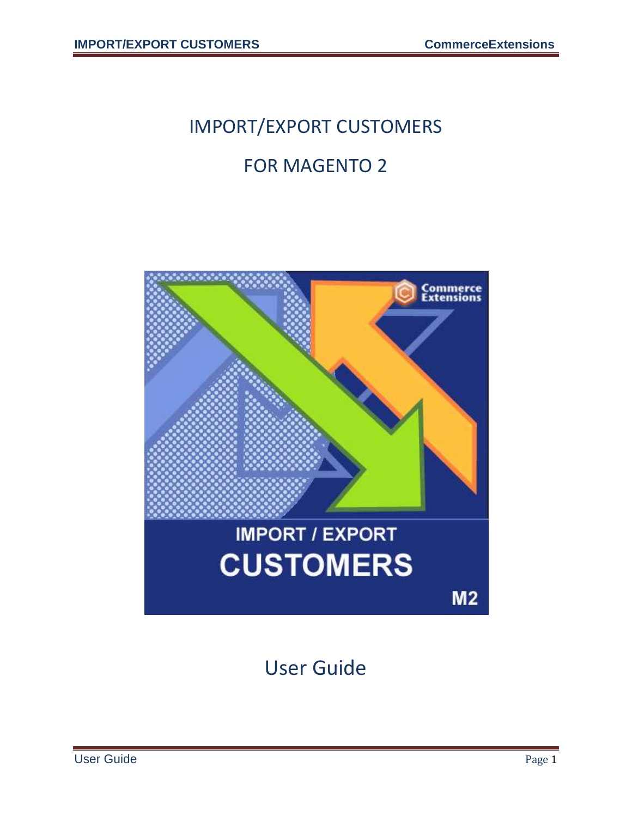# IMPORT/EXPORT CUSTOMERS FOR MAGENTO 2

# **Commerce**<br>Extensions **IMPORT / EXPORT CUSTOMERS**  $M<sub>2</sub>$

User Guide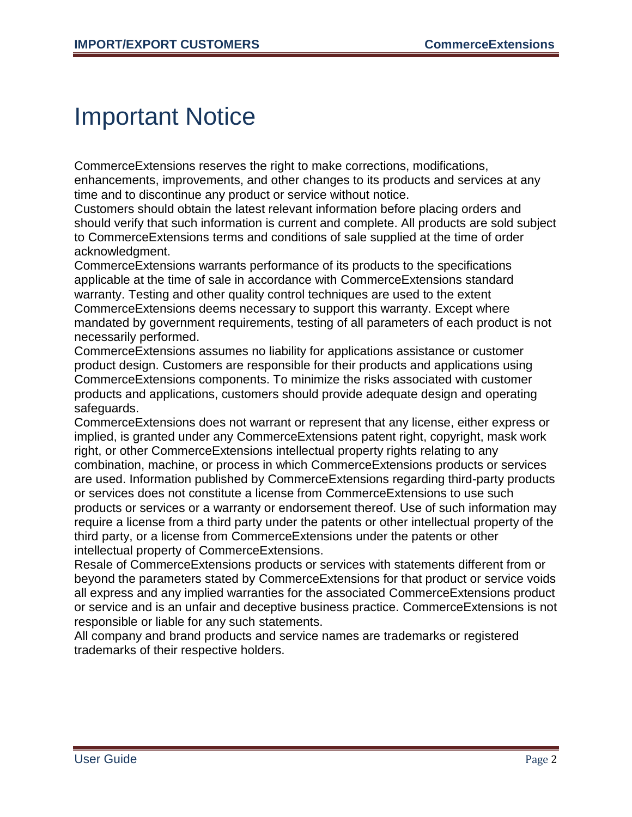#### Important Notice

CommerceExtensions reserves the right to make corrections, modifications, enhancements, improvements, and other changes to its products and services at any time and to discontinue any product or service without notice.

Customers should obtain the latest relevant information before placing orders and should verify that such information is current and complete. All products are sold subject to CommerceExtensions terms and conditions of sale supplied at the time of order acknowledgment.

CommerceExtensions warrants performance of its products to the specifications applicable at the time of sale in accordance with CommerceExtensions standard warranty. Testing and other quality control techniques are used to the extent CommerceExtensions deems necessary to support this warranty. Except where mandated by government requirements, testing of all parameters of each product is not necessarily performed.

CommerceExtensions assumes no liability for applications assistance or customer product design. Customers are responsible for their products and applications using CommerceExtensions components. To minimize the risks associated with customer products and applications, customers should provide adequate design and operating safeguards.

CommerceExtensions does not warrant or represent that any license, either express or implied, is granted under any CommerceExtensions patent right, copyright, mask work right, or other CommerceExtensions intellectual property rights relating to any combination, machine, or process in which CommerceExtensions products or services are used. Information published by CommerceExtensions regarding third-party products or services does not constitute a license from CommerceExtensions to use such products or services or a warranty or endorsement thereof. Use of such information may require a license from a third party under the patents or other intellectual property of the third party, or a license from CommerceExtensions under the patents or other intellectual property of CommerceExtensions.

Resale of CommerceExtensions products or services with statements different from or beyond the parameters stated by CommerceExtensions for that product or service voids all express and any implied warranties for the associated CommerceExtensions product or service and is an unfair and deceptive business practice. CommerceExtensions is not responsible or liable for any such statements.

All company and brand products and service names are trademarks or registered trademarks of their respective holders.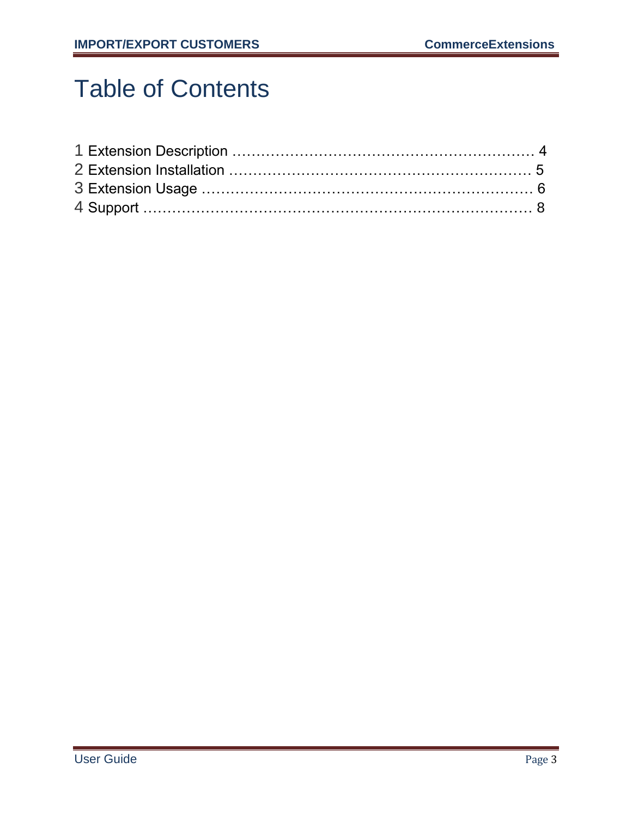# Table of Contents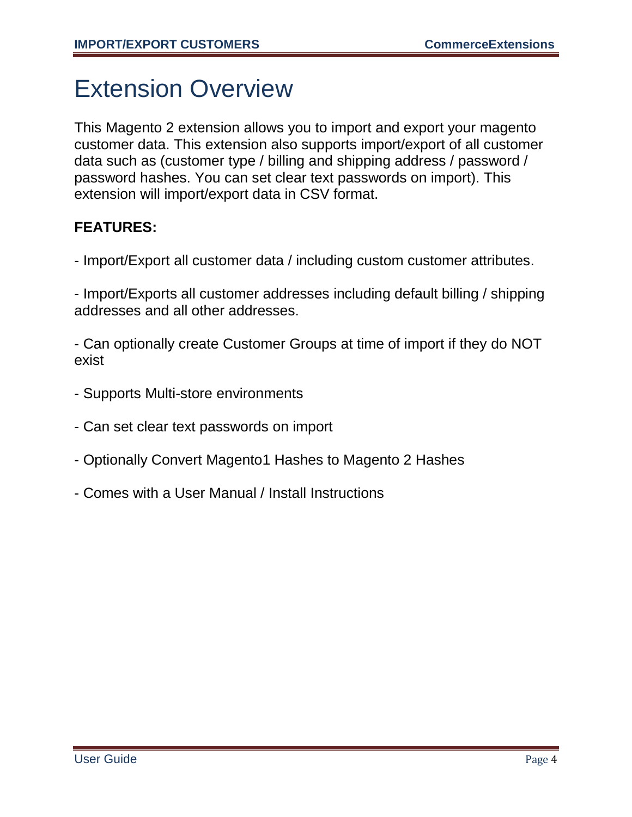### Extension Overview

This Magento 2 extension allows you to import and export your magento customer data. This extension also supports import/export of all customer data such as (customer type / billing and shipping address / password / password hashes. You can set clear text passwords on import). This extension will import/export data in CSV format.

#### **FEATURES:**

- Import/Export all customer data / including custom customer attributes.

- Import/Exports all customer addresses including default billing / shipping addresses and all other addresses.

- Can optionally create Customer Groups at time of import if they do NOT exist

- Supports Multi-store environments
- Can set clear text passwords on import
- Optionally Convert Magento1 Hashes to Magento 2 Hashes
- Comes with a User Manual / Install Instructions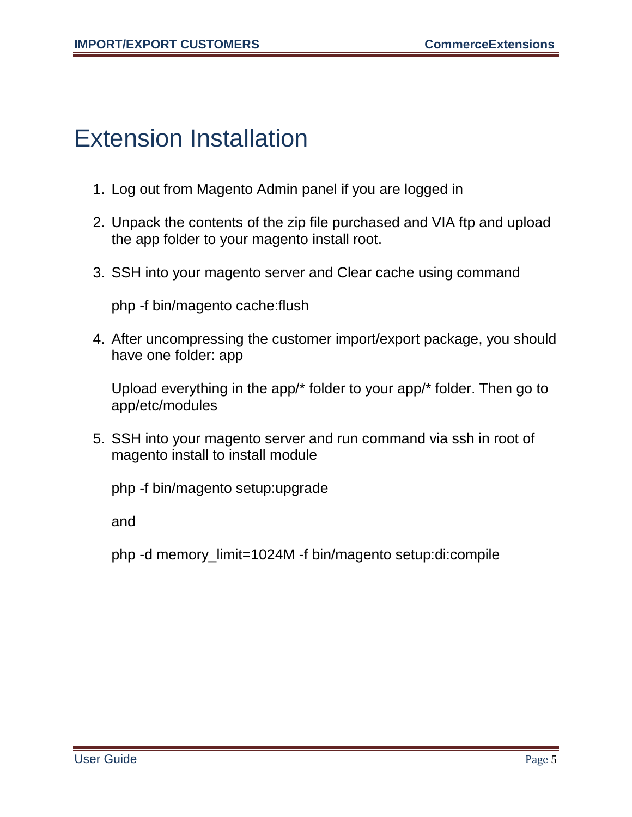#### Extension Installation

- 1. Log out from Magento Admin panel if you are logged in
- 2. Unpack the contents of the zip file purchased and VIA ftp and upload the app folder to your magento install root.
- 3. SSH into your magento server and Clear cache using command

php -f bin/magento cache:flush

4. After uncompressing the customer import/export package, you should have one folder: app

Upload everything in the app/\* folder to your app/\* folder. Then go to app/etc/modules

5. SSH into your magento server and run command via ssh in root of magento install to install module

php -f bin/magento setup:upgrade

and

php -d memory\_limit=1024M -f bin/magento setup:di:compile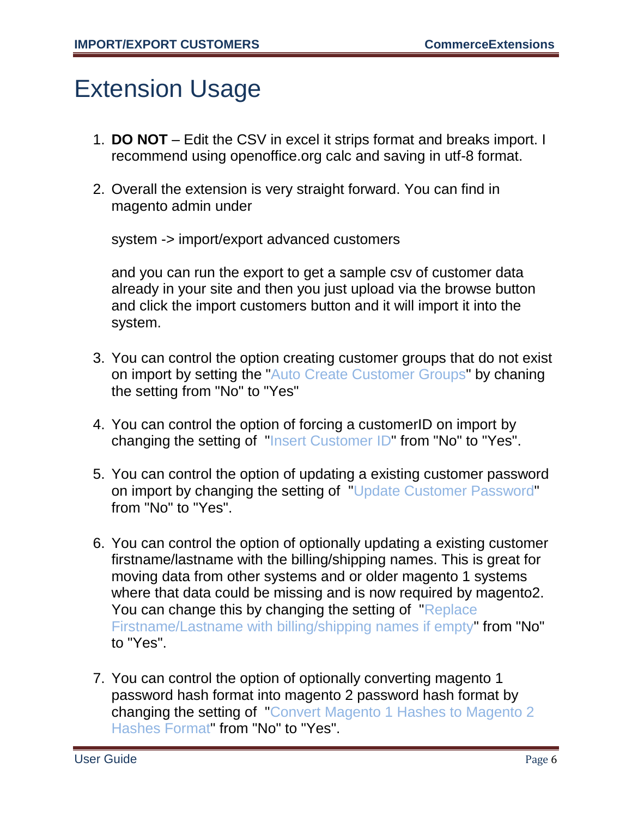### Extension Usage

- 1. **DO NOT** Edit the CSV in excel it strips format and breaks import. I recommend using openoffice.org calc and saving in utf-8 format.
- 2. Overall the extension is very straight forward. You can find in magento admin under

system -> import/export advanced customers

and you can run the export to get a sample csv of customer data already in your site and then you just upload via the browse button and click the import customers button and it will import it into the system.

- 3. You can control the option creating customer groups that do not exist on import by setting the "Auto Create Customer Groups" by chaning the setting from "No" to "Yes"
- 4. You can control the option of forcing a customerID on import by changing the setting of "Insert Customer ID" from "No" to "Yes".
- 5. You can control the option of updating a existing customer password on import by changing the setting of "Update Customer Password" from "No" to "Yes".
- 6. You can control the option of optionally updating a existing customer firstname/lastname with the billing/shipping names. This is great for moving data from other systems and or older magento 1 systems where that data could be missing and is now required by magento2. You can change this by changing the setting of "Replace" Firstname/Lastname with billing/shipping names if empty" from "No" to "Yes".
- 7. You can control the option of optionally converting magento 1 password hash format into magento 2 password hash format by changing the setting of "Convert Magento 1 Hashes to Magento 2 Hashes Format" from "No" to "Yes".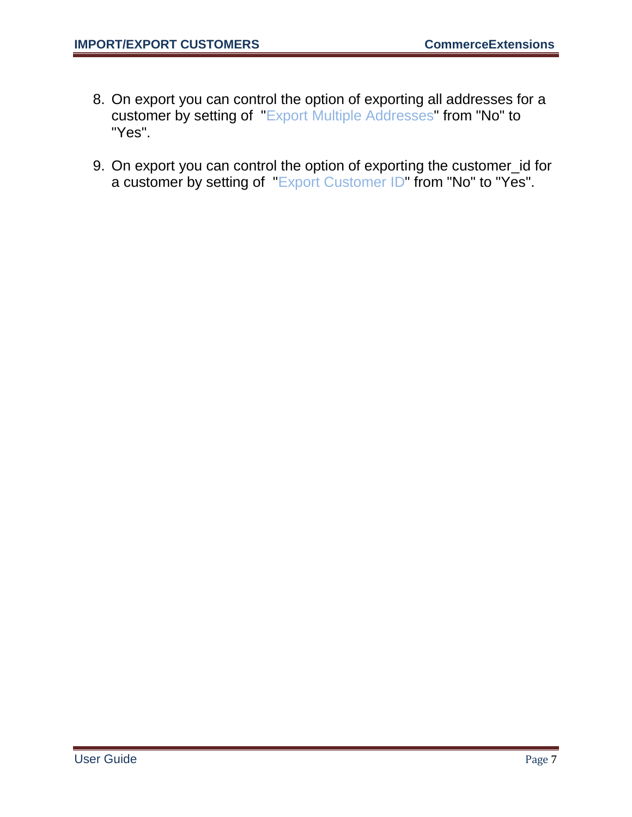- 8. On export you can control the option of exporting all addresses for a customer by setting of "Export Multiple Addresses" from "No" to "Yes".
- 9. On export you can control the option of exporting the customer\_id for a customer by setting of "Export Customer ID" from "No" to "Yes".